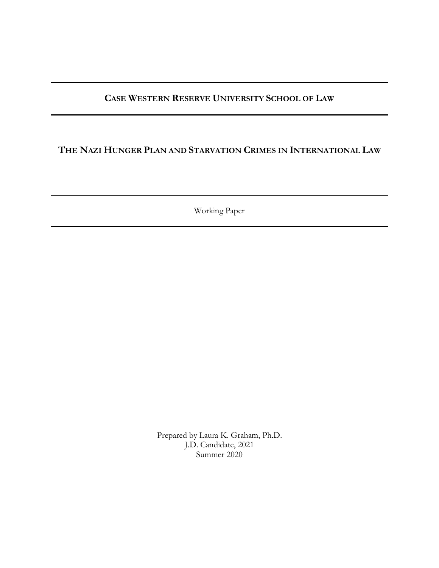# **CASE WESTERN RESERVE UNIVERSITY SCHOOL OF LAW**

## **THE NAZI HUNGER PLAN AND STARVATION CRIMES IN INTERNATIONAL LAW**

Working Paper

Prepared by Laura K. Graham, Ph.D. J.D. Candidate, 2021 Summer 2020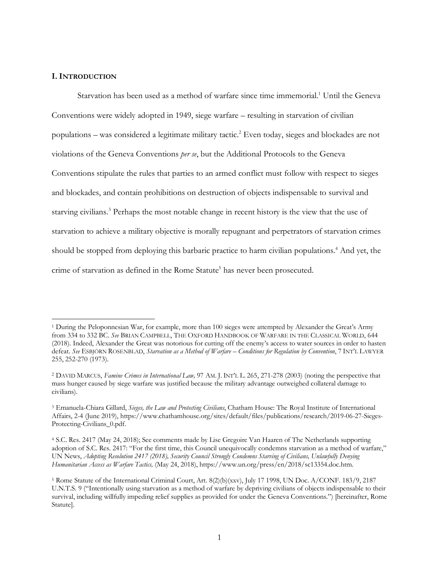### **I. INTRODUCTION**

 $\overline{a}$ 

Starvation has been used as a method of warfare since time immemorial. <sup>1</sup> Until the Geneva Conventions were widely adopted in 1949, siege warfare – resulting in starvation of civilian populations – was considered a legitimate military tactic.2 Even today, sieges and blockades are not violations of the Geneva Conventions *per se*, but the Additional Protocols to the Geneva Conventions stipulate the rules that parties to an armed conflict must follow with respect to sieges and blockades, and contain prohibitions on destruction of objects indispensable to survival and starving civilians.3 Perhaps the most notable change in recent history is the view that the use of starvation to achieve a military objective is morally repugnant and perpetrators of starvation crimes should be stopped from deploying this barbaric practice to harm civilian populations.<sup>4</sup> And yet, the crime of starvation as defined in the Rome Statute<sup>5</sup> has never been prosecuted.

<sup>1</sup> During the Peloponnesian War, for example, more than 100 sieges were attempted by Alexander the Great's Army from 334 to 332 BC. *See* BRIAN CAMPBELL, THE OXFORD HANDBOOK OF WARFARE IN THE CLASSICAL WORLD, 644 (2018). Indeed, Alexander the Great was notorious for cutting off the enemy's access to water sources in order to hasten defeat. *See* ESBJÖRN ROSENBLAD, *Starvation as a Method of Warfare – Conditions for Regulation by Convention*, 7 INT'L LAWYER 255, 252-270 (1973).

<sup>2</sup> DAVID MARCUS, *Famine Crimes in International Law,* 97 AM. J. INT'L L. 265, 271-278 (2003) (noting the perspective that mass hunger caused by siege warfare was justified because the military advantage outweighed collateral damage to civilians).

<sup>3</sup> Emanuela-Chiara Gillard, *Sieges, the Law and Protecting Civilians*, Chatham House: The Royal Institute of International Affairs, 2-4 (June 2019), https://www.chathamhouse.org/sites/default/files/publications/research/2019-06-27-Sieges-Protecting-Civilians\_0.pdf.

<sup>4</sup> S.C. Res. 2417 (May 24, 2018); See comments made by Lise Gregoire Van Haaren of The Netherlands supporting adoption of S.C. Res. 2417: "For the first time, this Council unequivocally condemns starvation as a method of warfare," UN News, *Adopting Resolution 2417 (2018), Security Council Strongly Condemns Starving of Civilians, Unlawfully Denying Humanitarian Access as Warfare Tactics,* (May 24, 2018), https://www.un.org/press/en/2018/sc13354.doc.htm.

<sup>5</sup> Rome Statute of the International Criminal Court, Art. 8(2)(b)(xxv), July 17 1998, UN Doc. A/CONF. 183/9, 2187 U.N.T.S. 9 ("Intentionally using starvation as a method of warfare by depriving civilians of objects indispensable to their survival, including willfully impeding relief supplies as provided for under the Geneva Conventions.") [hereinafter, Rome Statute].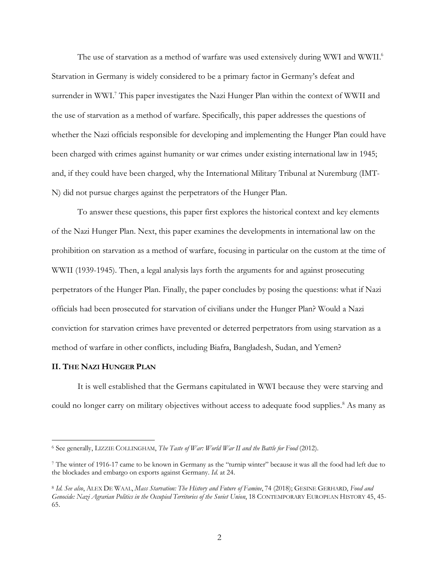The use of starvation as a method of warfare was used extensively during WWI and WWII.<sup>6</sup> Starvation in Germany is widely considered to be a primary factor in Germany's defeat and surrender in WWI.<sup>7</sup> This paper investigates the Nazi Hunger Plan within the context of WWII and the use of starvation as a method of warfare. Specifically, this paper addresses the questions of whether the Nazi officials responsible for developing and implementing the Hunger Plan could have been charged with crimes against humanity or war crimes under existing international law in 1945; and, if they could have been charged, why the International Military Tribunal at Nuremburg (IMT-N) did not pursue charges against the perpetrators of the Hunger Plan.

To answer these questions, this paper first explores the historical context and key elements of the Nazi Hunger Plan. Next, this paper examines the developments in international law on the prohibition on starvation as a method of warfare, focusing in particular on the custom at the time of WWII (1939-1945). Then, a legal analysis lays forth the arguments for and against prosecuting perpetrators of the Hunger Plan. Finally, the paper concludes by posing the questions: what if Nazi officials had been prosecuted for starvation of civilians under the Hunger Plan? Would a Nazi conviction for starvation crimes have prevented or deterred perpetrators from using starvation as a method of warfare in other conflicts, including Biafra, Bangladesh, Sudan, and Yemen?

#### **II. THE NAZI HUNGER PLAN**

 $\overline{a}$ 

It is well established that the Germans capitulated in WWI because they were starving and could no longer carry on military objectives without access to adequate food supplies.<sup>8</sup> As many as

<sup>6</sup> See generally, LIZZIE COLLINGHAM, *The Taste of War: World War II and the Battle for Food* (2012).

<sup>7</sup> The winter of 1916-17 came to be known in Germany as the "turnip winter" because it was all the food had left due to the blockades and embargo on exports against Germany. *Id.* at 24.

<sup>8</sup> *Id. See also*, ALEX DE WAAL, *Mass Starvation: The History and Future of Famine*, 74 (2018); GESINE GERHARD, *Food and Genocide: Nazi Agrarian Politics in the Occupied Territories of the Soviet Union*, 18 CONTEMPORARY EUROPEAN HISTORY 45, 45- 65.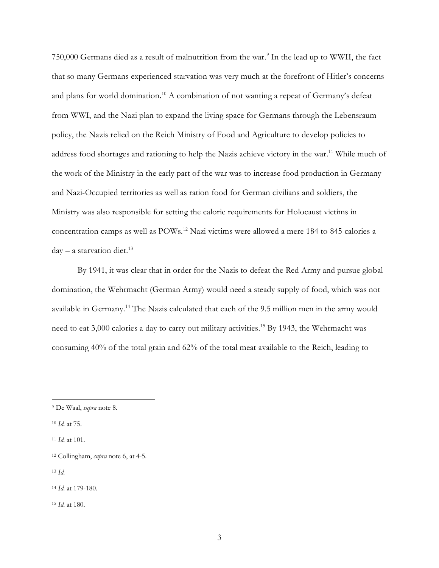750,000 Germans died as a result of malnutrition from the war.9 In the lead up to WWII, the fact that so many Germans experienced starvation was very much at the forefront of Hitler's concerns and plans for world domination.10 A combination of not wanting a repeat of Germany's defeat from WWI, and the Nazi plan to expand the living space for Germans through the Lebensraum policy, the Nazis relied on the Reich Ministry of Food and Agriculture to develop policies to address food shortages and rationing to help the Nazis achieve victory in the war.<sup>11</sup> While much of the work of the Ministry in the early part of the war was to increase food production in Germany and Nazi-Occupied territories as well as ration food for German civilians and soldiers, the Ministry was also responsible for setting the caloric requirements for Holocaust victims in concentration camps as well as POWs.12 Nazi victims were allowed a mere 184 to 845 calories a  $day - a$  starvation diet.<sup>13</sup>

By 1941, it was clear that in order for the Nazis to defeat the Red Army and pursue global domination, the Wehrmacht (German Army) would need a steady supply of food, which was not available in Germany.14 The Nazis calculated that each of the 9.5 million men in the army would need to eat 3,000 calories a day to carry out military activities. <sup>15</sup> By 1943, the Wehrmacht was consuming 40% of the total grain and 62% of the total meat available to the Reich, leading to

<sup>9</sup> De Waal, *supra* note 8.

<sup>10</sup> *Id.* at 75.

<sup>11</sup> *Id.* at 101.

<sup>12</sup> Collingham, *supra* note 6, at 4-5.

<sup>13</sup> *Id.*

<sup>14</sup> *Id.* at 179-180.

<sup>15</sup> *Id.* at 180.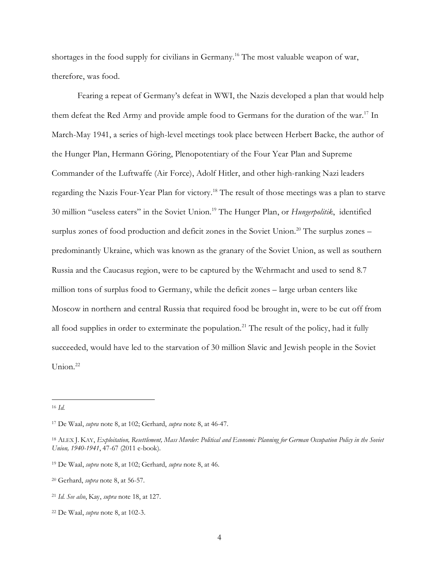shortages in the food supply for civilians in Germany. <sup>16</sup> The most valuable weapon of war, therefore, was food.

Fearing a repeat of Germany's defeat in WWI, the Nazis developed a plan that would help them defeat the Red Army and provide ample food to Germans for the duration of the war.17 In March-May 1941, a series of high-level meetings took place between Herbert Backe, the author of the Hunger Plan, Hermann Göring, Plenopotentiary of the Four Year Plan and Supreme Commander of the Luftwaffe (Air Force), Adolf Hitler, and other high-ranking Nazi leaders regarding the Nazis Four-Year Plan for victory.<sup>18</sup> The result of those meetings was a plan to starve 30 million "useless eaters" in the Soviet Union.19 The Hunger Plan, or *Hungerpolitik*, identified surplus zones of food production and deficit zones in the Soviet Union.<sup>20</sup> The surplus zones – predominantly Ukraine, which was known as the granary of the Soviet Union, as well as southern Russia and the Caucasus region, were to be captured by the Wehrmacht and used to send 8.7 million tons of surplus food to Germany, while the deficit zones – large urban centers like Moscow in northern and central Russia that required food be brought in, were to be cut off from all food supplies in order to exterminate the population.<sup>21</sup> The result of the policy, had it fully succeeded, would have led to the starvation of 30 million Slavic and Jewish people in the Soviet Union.<sup>22</sup>

 $\overline{a}$ <sup>16</sup> *Id.*

<sup>17</sup> De Waal, *supra* note 8, at 102; Gerhard, *supra* note 8, at 46-47.

<sup>18</sup> ALEX J. KAY, *Exploitation, Resettlement, Mass Murder: Political and Economic Planning for German Occupation Policy in the Soviet Union, 1940-1941*, 47-67 (2011 e-book).

<sup>19</sup> De Waal, *supra* note 8, at 102; Gerhard, *supra* note 8, at 46.

<sup>20</sup> Gerhard, *supra* note 8, at 56-57.

<sup>21</sup> *Id. See also*, Kay, *supra* note 18, at 127.

<sup>22</sup> De Waal, *supra* note 8, at 102-3.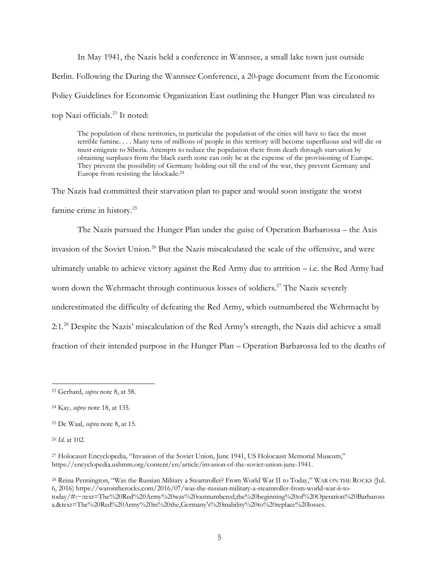In May 1941, the Nazis held a conference in Wannsee, a small lake town just outside Berlin. Following the During the Wannsee Conference, a 20-page document from the Economic Policy Guidelines for Economic Organization East outlining the Hunger Plan was circulated to top Nazi officials.23 It noted:

The population of these territories, in particular the population of the cities will have to face the most terrible famine. . . . Many tens of millions of people in this territory will become superfluous and will die or must emigrate to Siberia. Attempts to reduce the population there from death through starvation by obtaining surpluses from the black earth zone can only be at the expense of the provisioning of Europe. They prevent the possibility of Germany holding out till the end of the war, they prevent Germany and Europe from resisting the blockade.24

The Nazis had committed their starvation plan to paper and would soon instigate the worst famine crime in history.<sup>25</sup>

The Nazis pursued the Hunger Plan under the guise of Operation Barbarossa – the Axis invasion of the Soviet Union.<sup>26</sup> But the Nazis miscalculated the scale of the offensive, and were ultimately unable to achieve victory against the Red Army due to attrition – i.e. the Red Army had worn down the Wehrmacht through continuous losses of soldiers. <sup>27</sup> The Nazis severely underestimated the difficulty of defeating the Red Army, which outnumbered the Wehrmacht by 2:1.28 Despite the Nazis' miscalculation of the Red Army's strength, the Nazis did achieve a small fraction of their intended purpose in the Hunger Plan – Operation Barbarossa led to the deaths of

 $\overline{a}$ <sup>23</sup> Gerhard, *supra* note 8, at 58.

<sup>24</sup> Kay, *supra* note 18, at 135.

<sup>25</sup> De Waal, *supra* note 8, at 15.

<sup>26</sup> *Id.* at 102.

<sup>&</sup>lt;sup>27</sup> Holocaust Encyclopedia, "Invasion of the Soviet Union, June 1941, US Holocaust Memorial Museum," https://encyclopedia.ushmm.org/content/en/article/invasion-of-the-soviet-union-june-1941.

<sup>28</sup> Reina Pennington, "Was the Russian Military a Steamroller? From World War II to Today," WAR ON THE ROCKS (Jul. 6, 2016) https://warontherocks.com/2016/07/was-the-russian-military-a-steamroller-from-world-war-ii-totoday/#:~:text=The%20Red%20Army%20was%20outnumbered,the%20beginning%20of%20Operation%20Barbaross a.&text=The%20Red%20Army%20in%20the,Germany's%20inability%20to%20replace%20losses.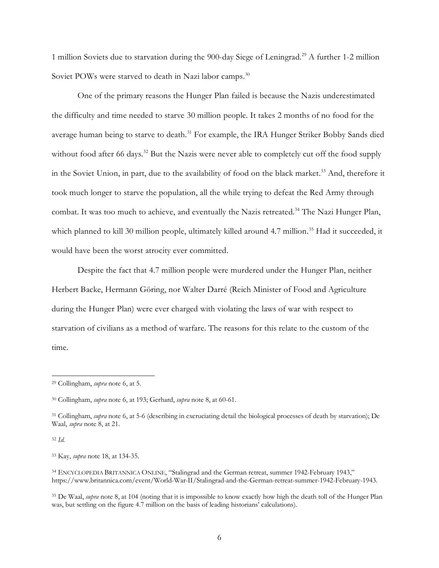1 million Soviets due to starvation during the 900-day Siege of Leningrad.29 A further 1-2 million Soviet POWs were starved to death in Nazi labor camps.<sup>30</sup>

One of the primary reasons the Hunger Plan failed is because the Nazis underestimated the difficulty and time needed to starve 30 million people. It takes 2 months of no food for the average human being to starve to death.<sup>31</sup> For example, the IRA Hunger Striker Bobby Sands died without food after 66 days.<sup>32</sup> But the Nazis were never able to completely cut off the food supply in the Soviet Union, in part, due to the availability of food on the black market.<sup>33</sup> And, therefore it took much longer to starve the population, all the while trying to defeat the Red Army through combat. It was too much to achieve, and eventually the Nazis retreated.<sup>34</sup> The Nazi Hunger Plan, which planned to kill 30 million people, ultimately killed around 4.7 million.<sup>35</sup> Had it succeeded, it would have been the worst atrocity ever committed.

Despite the fact that 4.7 million people were murdered under the Hunger Plan, neither Herbert Backe, Hermann Göring, nor Walter Darré (Reich Minister of Food and Agriculture during the Hunger Plan) were ever charged with violating the laws of war with respect to starvation of civilians as a method of warfare. The reasons for this relate to the custom of the time.

<sup>32</sup> *Id.*

 $\overline{a}$ 

<sup>35</sup> De Waal, *supra* note 8, at 104 (noting that it is impossible to know exactly how high the death toll of the Hunger Plan was, but settling on the figure 4.7 million on the basis of leading historians' calculations).

<sup>29</sup> Collingham, *supra* note 6, at 5.

<sup>30</sup> Collingham, *supra* note 6, at 193; Gerhard, *supra* note 8, at 60-61.

<sup>31</sup> Collingham, *supra* note 6, at 5-6 (describing in excruciating detail the biological processes of death by starvation); De Waal, *supra* note 8, at 21.

<sup>33</sup> Kay, *supra* note 18, at 134-35.

<sup>34</sup> ENCYCLOPEDIA BRITANNICA ONLINE, "Stalingrad and the German retreat, summer 1942-February 1943," https://www.britannica.com/event/World-War-II/Stalingrad-and-the-German-retreat-summer-1942-February-1943.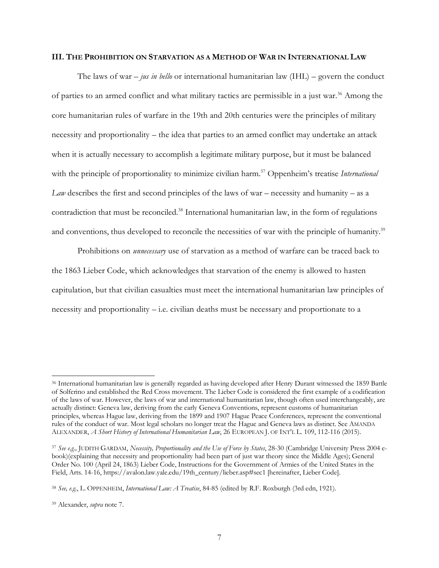#### **III. THE PROHIBITION ON STARVATION AS A METHOD OF WAR IN INTERNATIONAL LAW**

The laws of war – *jus in bello* or international humanitarian law (IHL) – govern the conduct of parties to an armed conflict and what military tactics are permissible in a just war. <sup>36</sup> Among the core humanitarian rules of warfare in the 19th and 20th centuries were the principles of military necessity and proportionality – the idea that parties to an armed conflict may undertake an attack when it is actually necessary to accomplish a legitimate military purpose, but it must be balanced with the principle of proportionality to minimize civilian harm.<sup>37</sup> Oppenheim's treatise *International Law* describes the first and second principles of the laws of war – necessity and humanity – as a contradiction that must be reconciled.<sup>38</sup> International humanitarian law, in the form of regulations and conventions, thus developed to reconcile the necessities of war with the principle of humanity.<sup>39</sup>

Prohibitions on *unnecessary* use of starvation as a method of warfare can be traced back to the 1863 Lieber Code, which acknowledges that starvation of the enemy is allowed to hasten capitulation, but that civilian casualties must meet the international humanitarian law principles of necessity and proportionality – i.e. civilian deaths must be necessary and proportionate to a

<sup>36</sup> International humanitarian law is generally regarded as having developed after Henry Durant witnessed the 1859 Battle of Solferino and established the Red Cross movement. The Lieber Code is considered the first example of a codification of the laws of war. However, the laws of war and international humanitarian law, though often used interchangeably, are actually distinct: Geneva law, deriving from the early Geneva Conventions, represent customs of humanitarian principles, whereas Hague law, deriving from the 1899 and 1907 Hague Peace Conferences, represent the conventional rules of the conduct of war. Most legal scholars no longer treat the Hague and Geneva laws as distinct. See AMANDA ALEXANDER, *A Short History of International Humanitarian Law*, 26 EUROPEAN J. OF INT'L L. 109, 112-116 (2015).

<sup>37</sup> *See e.g.,* JUDITH GARDAM, *Necessity, Proportionality and the Use of Force by States*, 28-30 (Cambridge University Press 2004 ebook)(explaining that necessity and proportionality had been part of just war theory since the Middle Ages); General Order No. 100 (April 24, 1863) Lieber Code, Instructions for the Government of Armies of the United States in the Field, Arts. 14-16, https://avalon.law.yale.edu/19th\_century/lieber.asp#sec1 [hereinafter, Lieber Code].

<sup>38</sup> *See, e.g.*, L. OPPENHEIM, *International Law: A Treatise*, 84-85 (edited by R.F. Roxburgh (3rd edn, 1921).

<sup>39</sup> Alexander, *supra* note 7.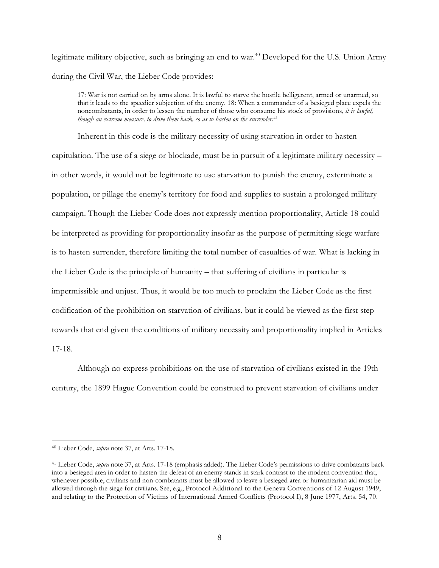legitimate military objective, such as bringing an end to war. <sup>40</sup> Developed for the U.S. Union Army during the Civil War, the Lieber Code provides:

17: War is not carried on by arms alone. It is lawful to starve the hostile belligerent, armed or unarmed, so that it leads to the speedier subjection of the enemy. 18: When a commander of a besieged place expels the noncombatants, in order to lessen the number of those who consume his stock of provisions, *it is lawful, though an extreme measure, to drive them back, so as to hasten on the surrender*. 41

Inherent in this code is the military necessity of using starvation in order to hasten capitulation. The use of a siege or blockade, must be in pursuit of a legitimate military necessity – in other words, it would not be legitimate to use starvation to punish the enemy, exterminate a population, or pillage the enemy's territory for food and supplies to sustain a prolonged military campaign. Though the Lieber Code does not expressly mention proportionality, Article 18 could be interpreted as providing for proportionality insofar as the purpose of permitting siege warfare is to hasten surrender, therefore limiting the total number of casualties of war. What is lacking in the Lieber Code is the principle of humanity – that suffering of civilians in particular is impermissible and unjust. Thus, it would be too much to proclaim the Lieber Code as the first codification of the prohibition on starvation of civilians, but it could be viewed as the first step towards that end given the conditions of military necessity and proportionality implied in Articles 17-18.

Although no express prohibitions on the use of starvation of civilians existed in the 19th century, the 1899 Hague Convention could be construed to prevent starvation of civilians under

<sup>40</sup> Lieber Code, *supra* note 37, at Arts. 17-18.

<sup>41</sup> Lieber Code, *supra* note 37, at Arts. 17-18 (emphasis added). The Lieber Code's permissions to drive combatants back into a besieged area in order to hasten the defeat of an enemy stands in stark contrast to the modern convention that, whenever possible, civilians and non-combatants must be allowed to leave a besieged area or humanitarian aid must be allowed through the siege for civilians. See, e.g., Protocol Additional to the Geneva Conventions of 12 August 1949, and relating to the Protection of Victims of International Armed Conflicts (Protocol I), 8 June 1977, Arts. 54, 70.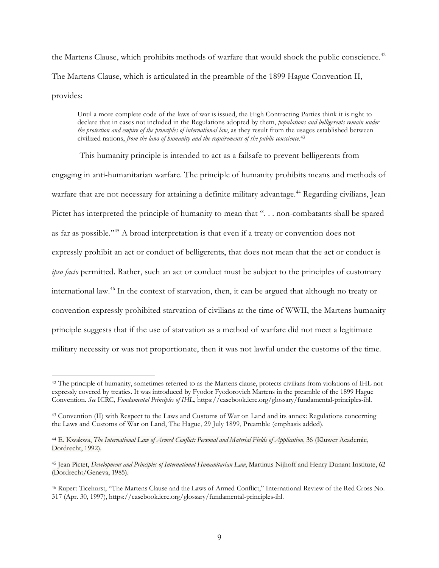the Martens Clause, which prohibits methods of warfare that would shock the public conscience.<sup>42</sup> The Martens Clause, which is articulated in the preamble of the 1899 Hague Convention II, provides:

Until a more complete code of the laws of war is issued, the High Contracting Parties think it is right to declare that in cases not included in the Regulations adopted by them, *populations and belligerents remain under the protection and empire of the principles of international law*, as they result from the usages established between civilized nations, *from the laws of humanity and the requirements of the public conscience*. 43

This humanity principle is intended to act as a failsafe to prevent belligerents from engaging in anti-humanitarian warfare. The principle of humanity prohibits means and methods of warfare that are not necessary for attaining a definite military advantage.<sup>44</sup> Regarding civilians, Jean Pictet has interpreted the principle of humanity to mean that "... non-combatants shall be spared as far as possible."45 A broad interpretation is that even if a treaty or convention does not expressly prohibit an act or conduct of belligerents, that does not mean that the act or conduct is *ipso facto* permitted. Rather, such an act or conduct must be subject to the principles of customary international law.46 In the context of starvation, then, it can be argued that although no treaty or convention expressly prohibited starvation of civilians at the time of WWII, the Martens humanity principle suggests that if the use of starvation as a method of warfare did not meet a legitimate military necessity or was not proportionate, then it was not lawful under the customs of the time.

<sup>&</sup>lt;sup>42</sup> The principle of humanity, sometimes referred to as the Martens clause, protects civilians from violations of IHL not expressly covered by treaties. It was introduced by Fyodor Fyodorovich Martens in the preamble of the 1899 Hague Convention. *See* ICRC, *Fundamental Principles of IHL*, https://casebook.icrc.org/glossary/fundamental-principles-ihl.

<sup>43</sup> Convention (II) with Respect to the Laws and Customs of War on Land and its annex: Regulations concerning the Laws and Customs of War on Land, The Hague, 29 July 1899, Preamble (emphasis added).

<sup>44</sup> E. Kwakwa, *The International Law of Armed Conflict: Personal and Material Fields of Application*, 36 (Kluwer Academic, Dordrecht, 1992).

<sup>45</sup> Jean Pictet, *Development and Principles of International Humanitarian Law*, Martinus Nijhoff and Henry Dunant Institute, 62 (Dordrecht/Geneva, 1985).

<sup>46</sup> Rupert Ticehurst, "The Martens Clause and the Laws of Armed Conflict," International Review of the Red Cross No. 317 (Apr. 30, 1997), https://casebook.icrc.org/glossary/fundamental-principles-ihl.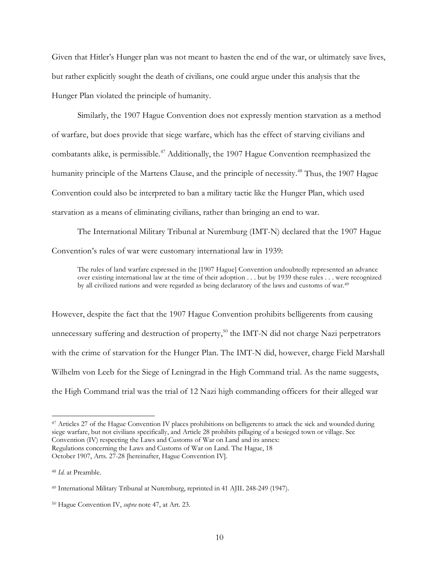Given that Hitler's Hunger plan was not meant to hasten the end of the war, or ultimately save lives, but rather explicitly sought the death of civilians, one could argue under this analysis that the Hunger Plan violated the principle of humanity.

Similarly, the 1907 Hague Convention does not expressly mention starvation as a method of warfare, but does provide that siege warfare, which has the effect of starving civilians and combatants alike, is permissible. <sup>47</sup> Additionally, the 1907 Hague Convention reemphasized the humanity principle of the Martens Clause, and the principle of necessity.<sup>48</sup> Thus, the 1907 Hague Convention could also be interpreted to ban a military tactic like the Hunger Plan, which used starvation as a means of eliminating civilians, rather than bringing an end to war.

The International Military Tribunal at Nuremburg (IMT-N) declared that the 1907 Hague Convention's rules of war were customary international law in 1939:

The rules of land warfare expressed in the [1907 Hague] Convention undoubtedly represented an advance over existing international law at the time of their adoption . . . but by 1939 these rules . . . were recognized by all civilized nations and were regarded as being declaratory of the laws and customs of war.<sup>49</sup>

However, despite the fact that the 1907 Hague Convention prohibits belligerents from causing unnecessary suffering and destruction of property,<sup>50</sup> the IMT-N did not charge Nazi perpetrators with the crime of starvation for the Hunger Plan. The IMT-N did, however, charge Field Marshall Wilhelm von Leeb for the Siege of Leningrad in the High Command trial. As the name suggests, the High Command trial was the trial of 12 Nazi high commanding officers for their alleged war

<sup>47</sup> Articles 27 of the Hague Convention IV places prohibitions on belligerents to attack the sick and wounded during siege warfare, but not civilians specifically, and Article 28 prohibits pillaging of a besieged town or village. See Convention (IV) respecting the Laws and Customs of War on Land and its annex: Regulations concerning the Laws and Customs of War on Land. The Hague, 18 October 1907, Arts. 27-28 [hereinafter, Hague Convention IV].

<sup>48</sup> *Id.* at Preamble.

<sup>49</sup> International Military Tribunal at Nuremburg, reprinted in 41 AJIL 248-249 (1947).

<sup>50</sup> Hague Convention IV, *supra* note 47, at Art. 23.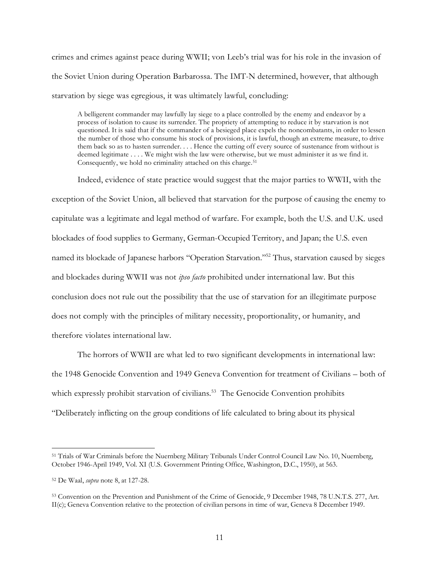crimes and crimes against peace during WWII; von Leeb's trial was for his role in the invasion of the Soviet Union during Operation Barbarossa. The IMT-N determined, however, that although starvation by siege was egregious, it was ultimately lawful, concluding:

A belligerent commander may lawfully lay siege to a place controlled by the enemy and endeavor by a process of isolation to cause its surrender. The propriety of attempting to reduce it by starvation is not questioned. It is said that if the commander of a besieged place expels the noncombatants, in order to lessen the number of those who consume his stock of provisions, it is lawful, though an extreme measure, to drive them back so as to hasten surrender. . . . Hence the cutting off every source of sustenance from without is deemed legitimate . . . . We might wish the law were otherwise, but we must administer it as we find it. Consequently, we hold no criminality attached on this charge.<sup>51</sup>

Indeed, evidence of state practice would suggest that the major parties to WWII, with the exception of the Soviet Union, all believed that starvation for the purpose of causing the enemy to capitulate was a legitimate and legal method of warfare. For example, both the U.S. and U.K. used blockades of food supplies to Germany, German-Occupied Territory, and Japan; the U.S. even named its blockade of Japanese harbors "Operation Starvation."52 Thus, starvation caused by sieges and blockades during WWII was not *ipso facto* prohibited under international law. But this conclusion does not rule out the possibility that the use of starvation for an illegitimate purpose does not comply with the principles of military necessity, proportionality, or humanity, and therefore violates international law.

The horrors of WWII are what led to two significant developments in international law: the 1948 Genocide Convention and 1949 Geneva Convention for treatment of Civilians – both of which expressly prohibit starvation of civilians.<sup>53</sup> The Genocide Convention prohibits "Deliberately inflicting on the group conditions of life calculated to bring about its physical

<sup>51</sup> Trials of War Criminals before the Nuernberg Military Tribunals Under Control Council Law No. 10, Nuernberg, October 1946-April 1949, Vol. XI (U.S. Government Printing Office, Washington, D.C., 1950), at 563.

<sup>52</sup> De Waal, *supra* note 8, at 127-28.

<sup>53</sup> Convention on the Prevention and Punishment of the Crime of Genocide, 9 December 1948, 78 U.N.T.S. 277, Art. II(c); Geneva Convention relative to the protection of civilian persons in time of war, Geneva 8 December 1949.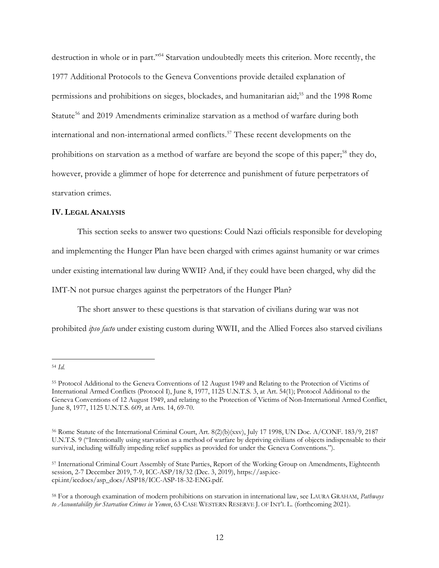destruction in whole or in part."54 Starvation undoubtedly meets this criterion. More recently, the 1977 Additional Protocols to the Geneva Conventions provide detailed explanation of permissions and prohibitions on sieges, blockades, and humanitarian aid;<sup>55</sup> and the 1998 Rome Statute<sup>56</sup> and 2019 Amendments criminalize starvation as a method of warfare during both international and non-international armed conflicts. <sup>57</sup> These recent developments on the prohibitions on starvation as a method of warfare are beyond the scope of this paper;<sup>58</sup> they do, however, provide a glimmer of hope for deterrence and punishment of future perpetrators of starvation crimes.

#### **IV. LEGAL ANALYSIS**

This section seeks to answer two questions: Could Nazi officials responsible for developing and implementing the Hunger Plan have been charged with crimes against humanity or war crimes under existing international law during WWII? And, if they could have been charged, why did the IMT-N not pursue charges against the perpetrators of the Hunger Plan?

The short answer to these questions is that starvation of civilians during war was not prohibited *ipso facto* under existing custom during WWII, and the Allied Forces also starved civilians

<sup>54</sup> *Id.*

<sup>55</sup> Protocol Additional to the Geneva Conventions of 12 August 1949 and Relating to the Protection of Victims of International Armed Conflicts (Protocol I), June 8, 1977, 1125 U.N.T.S. 3, at Art. 54(1); Protocol Additional to the Geneva Conventions of 12 August 1949, and relating to the Protection of Victims of Non-International Armed Conflict, June 8, 1977, 1125 U.N.T.S. 609, at Arts. 14, 69-70.

<sup>56</sup> Rome Statute of the International Criminal Court, Art. 8(2)(b)(xxv), July 17 1998, UN Doc. A/CONF. 183/9, 2187 U.N.T.S. 9 ("Intentionally using starvation as a method of warfare by depriving civilians of objects indispensable to their survival, including willfully impeding relief supplies as provided for under the Geneva Conventions.").

<sup>57</sup> International Criminal Court Assembly of State Parties, Report of the Working Group on Amendments, Eighteenth session, 2-7 December 2019, 7-9, ICC-ASP/18/32 (Dec. 3, 2019), https://asp.icccpi.int/iccdocs/asp\_docs/ASP18/ICC-ASP-18-32-ENG.pdf.

<sup>58</sup> For a thorough examination of modern prohibitions on starvation in international law, see LAURA GRAHAM, *Pathways to Accountability for Starvation Crimes in Yemen*, 63 CASE WESTERN RESERVE J. OF INT'L L. (forthcoming 2021).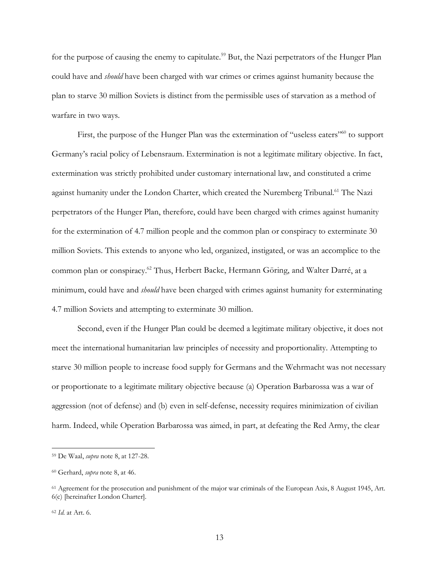for the purpose of causing the enemy to capitulate.<sup>59</sup> But, the Nazi perpetrators of the Hunger Plan could have and *should* have been charged with war crimes or crimes against humanity because the plan to starve 30 million Soviets is distinct from the permissible uses of starvation as a method of warfare in two ways.

First, the purpose of the Hunger Plan was the extermination of "useless eaters"<sup>60</sup> to support Germany's racial policy of Lebensraum. Extermination is not a legitimate military objective. In fact, extermination was strictly prohibited under customary international law, and constituted a crime against humanity under the London Charter, which created the Nuremberg Tribunal.<sup>61</sup> The Nazi perpetrators of the Hunger Plan, therefore, could have been charged with crimes against humanity for the extermination of 4.7 million people and the common plan or conspiracy to exterminate 30 million Soviets. This extends to anyone who led, organized, instigated, or was an accomplice to the common plan or conspiracy.62 Thus, Herbert Backe, Hermann Göring, and Walter Darré, at a minimum, could have and *should* have been charged with crimes against humanity for exterminating 4.7 million Soviets and attempting to exterminate 30 million.

Second, even if the Hunger Plan could be deemed a legitimate military objective, it does not meet the international humanitarian law principles of necessity and proportionality. Attempting to starve 30 million people to increase food supply for Germans and the Wehrmacht was not necessary or proportionate to a legitimate military objective because (a) Operation Barbarossa was a war of aggression (not of defense) and (b) even in self-defense, necessity requires minimization of civilian harm. Indeed, while Operation Barbarossa was aimed, in part, at defeating the Red Army, the clear

<sup>59</sup> De Waal, *supra* note 8, at 127-28.

<sup>60</sup> Gerhard, *supra* note 8, at 46.

<sup>61</sup> Agreement for the prosecution and punishment of the major war criminals of the European Axis, 8 August 1945, Art. 6(c) [hereinafter London Charter].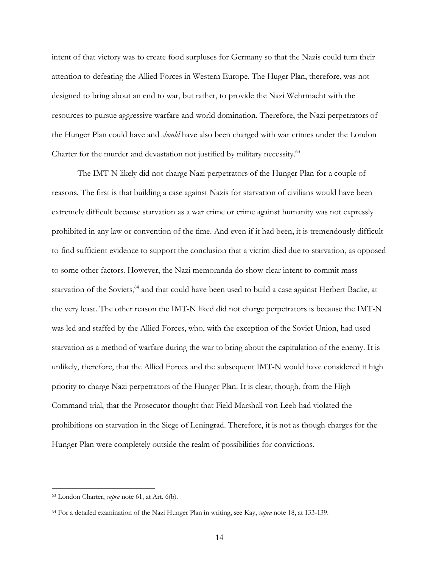intent of that victory was to create food surpluses for Germany so that the Nazis could turn their attention to defeating the Allied Forces in Western Europe. The Huger Plan, therefore, was not designed to bring about an end to war, but rather, to provide the Nazi Wehrmacht with the resources to pursue aggressive warfare and world domination. Therefore, the Nazi perpetrators of the Hunger Plan could have and *should* have also been charged with war crimes under the London Charter for the murder and devastation not justified by military necessity.<sup>63</sup>

The IMT-N likely did not charge Nazi perpetrators of the Hunger Plan for a couple of reasons. The first is that building a case against Nazis for starvation of civilians would have been extremely difficult because starvation as a war crime or crime against humanity was not expressly prohibited in any law or convention of the time. And even if it had been, it is tremendously difficult to find sufficient evidence to support the conclusion that a victim died due to starvation, as opposed to some other factors. However, the Nazi memoranda do show clear intent to commit mass starvation of the Soviets,<sup>64</sup> and that could have been used to build a case against Herbert Backe, at the very least. The other reason the IMT-N liked did not charge perpetrators is because the IMT-N was led and staffed by the Allied Forces, who, with the exception of the Soviet Union, had used starvation as a method of warfare during the war to bring about the capitulation of the enemy. It is unlikely, therefore, that the Allied Forces and the subsequent IMT-N would have considered it high priority to charge Nazi perpetrators of the Hunger Plan. It is clear, though, from the High Command trial, that the Prosecutor thought that Field Marshall von Leeb had violated the prohibitions on starvation in the Siege of Leningrad. Therefore, it is not as though charges for the Hunger Plan were completely outside the realm of possibilities for convictions.

<sup>63</sup> London Charter, *supra* note 61, at Art. 6(b).

<sup>64</sup> For a detailed examination of the Nazi Hunger Plan in writing, see Kay, *supra* note 18, at 133-139.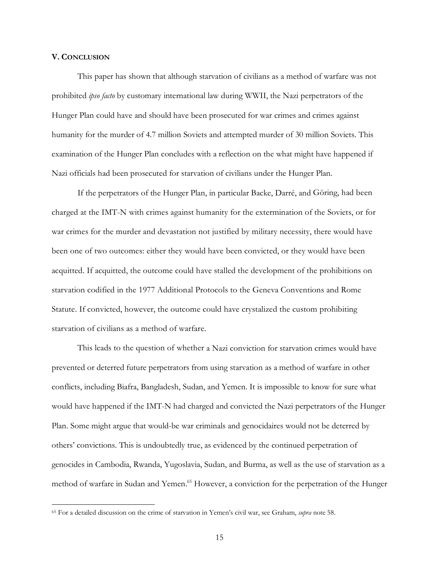#### **V. CONCLUSION**

 $\overline{a}$ 

This paper has shown that although starvation of civilians as a method of warfare was not prohibited *ipso facto* by customary international law during WWII, the Nazi perpetrators of the Hunger Plan could have and should have been prosecuted for war crimes and crimes against humanity for the murder of 4.7 million Soviets and attempted murder of 30 million Soviets. This examination of the Hunger Plan concludes with a reflection on the what might have happened if Nazi officials had been prosecuted for starvation of civilians under the Hunger Plan.

If the perpetrators of the Hunger Plan, in particular Backe, Darré, and Göring, had been charged at the IMT-N with crimes against humanity for the extermination of the Soviets, or for war crimes for the murder and devastation not justified by military necessity, there would have been one of two outcomes: either they would have been convicted, or they would have been acquitted. If acquitted, the outcome could have stalled the development of the prohibitions on starvation codified in the 1977 Additional Protocols to the Geneva Conventions and Rome Statute. If convicted, however, the outcome could have crystalized the custom prohibiting starvation of civilians as a method of warfare.

This leads to the question of whether a Nazi conviction for starvation crimes would have prevented or deterred future perpetrators from using starvation as a method of warfare in other conflicts, including Biafra, Bangladesh, Sudan, and Yemen. It is impossible to know for sure what would have happened if the IMT-N had charged and convicted the Nazi perpetrators of the Hunger Plan. Some might argue that would-be war criminals and genocidaires would not be deterred by others' convictions. This is undoubtedly true, as evidenced by the continued perpetration of genocides in Cambodia, Rwanda, Yugoslavia, Sudan, and Burma, as well as the use of starvation as a method of warfare in Sudan and Yemen.<sup>65</sup> However, a conviction for the perpetration of the Hunger

<sup>65</sup> For a detailed discussion on the crime of starvation in Yemen's civil war, see Graham, *supra* note 58.